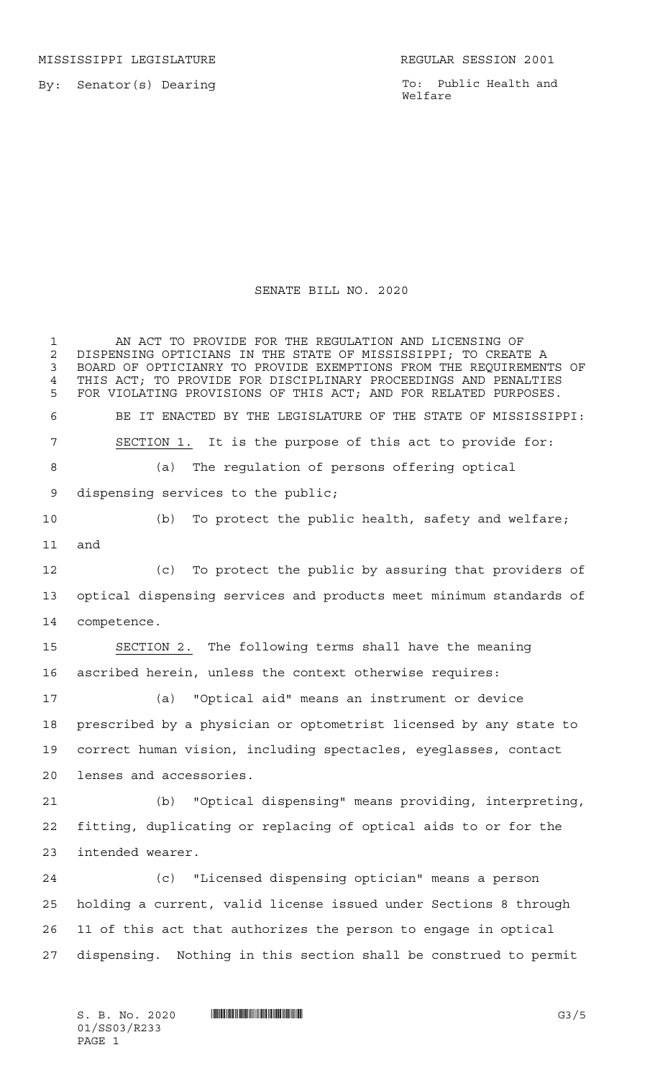MISSISSIPPI LEGISLATURE **REGULAR SESSION 2001** 

By: Senator(s) Dearing

To: Public Health and Welfare

## SENATE BILL NO. 2020

 AN ACT TO PROVIDE FOR THE REGULATION AND LICENSING OF 2 DISPENSING OPTICIANS IN THE STATE OF MISSISSIPPI; TO CREATE A<br>3 BOARD OF OPTICIANRY TO PROVIDE EXEMPTIONS FROM THE REOUIREMENT BOARD OF OPTICIANRY TO PROVIDE EXEMPTIONS FROM THE REQUIREMENTS OF THIS ACT; TO PROVIDE FOR DISCIPLINARY PROCEEDINGS AND PENALTIES FOR VIOLATING PROVISIONS OF THIS ACT; AND FOR RELATED PURPOSES. BE IT ENACTED BY THE LEGISLATURE OF THE STATE OF MISSISSIPPI: SECTION 1. It is the purpose of this act to provide for: (a) The regulation of persons offering optical dispensing services to the public; (b) To protect the public health, safety and welfare; and (c) To protect the public by assuring that providers of optical dispensing services and products meet minimum standards of competence. SECTION 2. The following terms shall have the meaning ascribed herein, unless the context otherwise requires: (a) "Optical aid" means an instrument or device prescribed by a physician or optometrist licensed by any state to correct human vision, including spectacles, eyeglasses, contact lenses and accessories. (b) "Optical dispensing" means providing, interpreting, fitting, duplicating or replacing of optical aids to or for the intended wearer. (c) "Licensed dispensing optician" means a person holding a current, valid license issued under Sections 8 through 11 of this act that authorizes the person to engage in optical dispensing. Nothing in this section shall be construed to permit

 $S. B. No. 2020$   $\blacksquare$   $\blacksquare$   $\blacksquare$   $\blacksquare$   $\blacksquare$   $\blacksquare$   $\blacksquare$ 01/SS03/R233 PAGE 1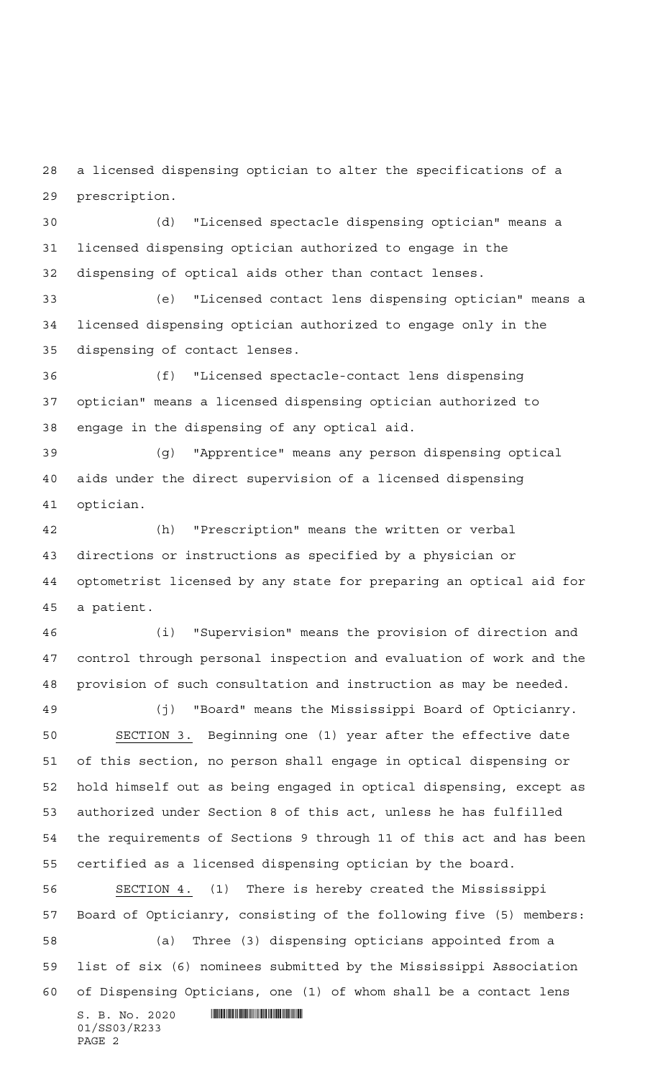a licensed dispensing optician to alter the specifications of a prescription.

 (d) "Licensed spectacle dispensing optician" means a licensed dispensing optician authorized to engage in the dispensing of optical aids other than contact lenses.

 (e) "Licensed contact lens dispensing optician" means a licensed dispensing optician authorized to engage only in the dispensing of contact lenses.

 (f) "Licensed spectacle-contact lens dispensing optician" means a licensed dispensing optician authorized to engage in the dispensing of any optical aid.

 (g) "Apprentice" means any person dispensing optical aids under the direct supervision of a licensed dispensing optician.

 (h) "Prescription" means the written or verbal directions or instructions as specified by a physician or optometrist licensed by any state for preparing an optical aid for a patient.

 (i) "Supervision" means the provision of direction and control through personal inspection and evaluation of work and the provision of such consultation and instruction as may be needed.

 (j) "Board" means the Mississippi Board of Opticianry. SECTION 3. Beginning one (1) year after the effective date of this section, no person shall engage in optical dispensing or hold himself out as being engaged in optical dispensing, except as authorized under Section 8 of this act, unless he has fulfilled the requirements of Sections 9 through 11 of this act and has been certified as a licensed dispensing optician by the board.

 $S. B. No. 2020$  . We say the set of  $S. B. No. 2020$  SECTION 4. (1) There is hereby created the Mississippi Board of Opticianry, consisting of the following five (5) members: (a) Three (3) dispensing opticians appointed from a list of six (6) nominees submitted by the Mississippi Association of Dispensing Opticians, one (1) of whom shall be a contact lens

```
01/SS03/R233
PAGE 2
```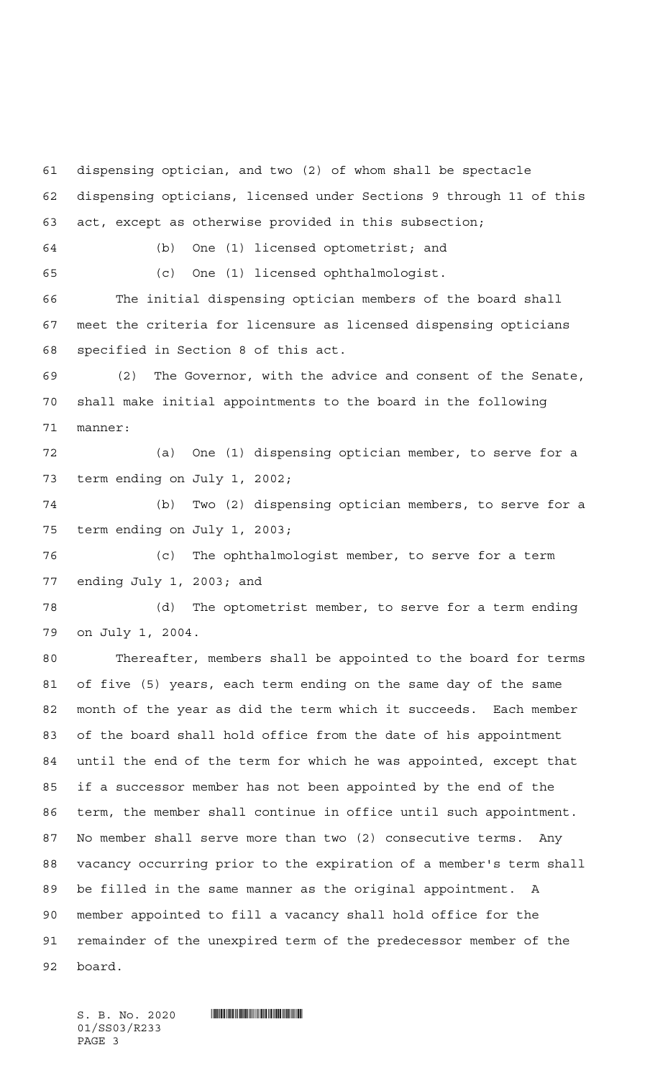dispensing optician, and two (2) of whom shall be spectacle dispensing opticians, licensed under Sections 9 through 11 of this act, except as otherwise provided in this subsection; (b) One (1) licensed optometrist; and (c) One (1) licensed ophthalmologist. The initial dispensing optician members of the board shall meet the criteria for licensure as licensed dispensing opticians specified in Section 8 of this act. (2) The Governor, with the advice and consent of the Senate, shall make initial appointments to the board in the following manner: (a) One (1) dispensing optician member, to serve for a term ending on July 1, 2002; (b) Two (2) dispensing optician members, to serve for a term ending on July 1, 2003; (c) The ophthalmologist member, to serve for a term ending July 1, 2003; and (d) The optometrist member, to serve for a term ending on July 1, 2004. Thereafter, members shall be appointed to the board for terms of five (5) years, each term ending on the same day of the same month of the year as did the term which it succeeds. Each member of the board shall hold office from the date of his appointment until the end of the term for which he was appointed, except that if a successor member has not been appointed by the end of the term, the member shall continue in office until such appointment. No member shall serve more than two (2) consecutive terms. Any vacancy occurring prior to the expiration of a member's term shall be filled in the same manner as the original appointment. A member appointed to fill a vacancy shall hold office for the remainder of the unexpired term of the predecessor member of the board.

01/SS03/R233 PAGE 3

 $S. B. No. 2020$  . And  $S. 333$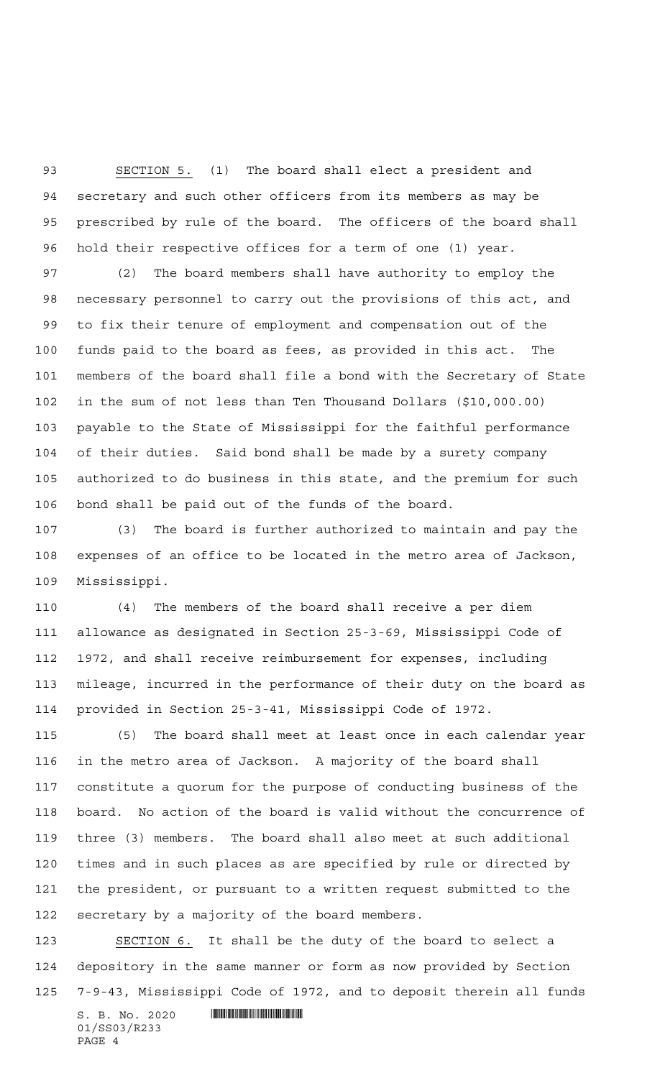SECTION 5. (1) The board shall elect a president and secretary and such other officers from its members as may be prescribed by rule of the board. The officers of the board shall hold their respective offices for a term of one (1) year.

 (2) The board members shall have authority to employ the necessary personnel to carry out the provisions of this act, and to fix their tenure of employment and compensation out of the funds paid to the board as fees, as provided in this act. The members of the board shall file a bond with the Secretary of State in the sum of not less than Ten Thousand Dollars (\$10,000.00) payable to the State of Mississippi for the faithful performance of their duties. Said bond shall be made by a surety company authorized to do business in this state, and the premium for such bond shall be paid out of the funds of the board.

 (3) The board is further authorized to maintain and pay the expenses of an office to be located in the metro area of Jackson, Mississippi.

 (4) The members of the board shall receive a per diem allowance as designated in Section 25-3-69, Mississippi Code of 1972, and shall receive reimbursement for expenses, including mileage, incurred in the performance of their duty on the board as provided in Section 25-3-41, Mississippi Code of 1972.

 (5) The board shall meet at least once in each calendar year in the metro area of Jackson. A majority of the board shall constitute a quorum for the purpose of conducting business of the board. No action of the board is valid without the concurrence of three (3) members. The board shall also meet at such additional times and in such places as are specified by rule or directed by the president, or pursuant to a written request submitted to the secretary by a majority of the board members.

 SECTION 6. It shall be the duty of the board to select a depository in the same manner or form as now provided by Section 7-9-43, Mississippi Code of 1972, and to deposit therein all funds

 $S. B. No. 2020$  . And  $S. 333$ 01/SS03/R233 PAGE 4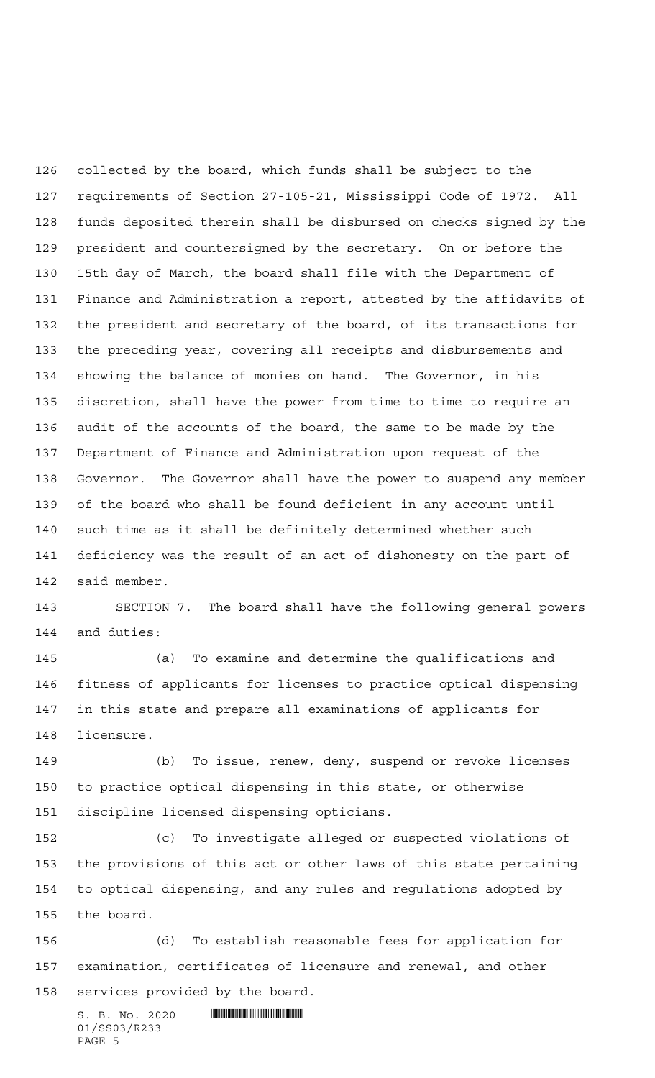collected by the board, which funds shall be subject to the requirements of Section 27-105-21, Mississippi Code of 1972. All funds deposited therein shall be disbursed on checks signed by the president and countersigned by the secretary. On or before the 15th day of March, the board shall file with the Department of Finance and Administration a report, attested by the affidavits of the president and secretary of the board, of its transactions for the preceding year, covering all receipts and disbursements and showing the balance of monies on hand. The Governor, in his discretion, shall have the power from time to time to require an audit of the accounts of the board, the same to be made by the Department of Finance and Administration upon request of the Governor. The Governor shall have the power to suspend any member of the board who shall be found deficient in any account until such time as it shall be definitely determined whether such deficiency was the result of an act of dishonesty on the part of said member.

143 SECTION 7. The board shall have the following general powers and duties:

 (a) To examine and determine the qualifications and fitness of applicants for licenses to practice optical dispensing in this state and prepare all examinations of applicants for licensure.

 (b) To issue, renew, deny, suspend or revoke licenses to practice optical dispensing in this state, or otherwise discipline licensed dispensing opticians.

 (c) To investigate alleged or suspected violations of the provisions of this act or other laws of this state pertaining to optical dispensing, and any rules and regulations adopted by the board.

 (d) To establish reasonable fees for application for examination, certificates of licensure and renewal, and other services provided by the board.

 $S. B. No. 2020$  . And  $S. 333$ 01/SS03/R233 PAGE 5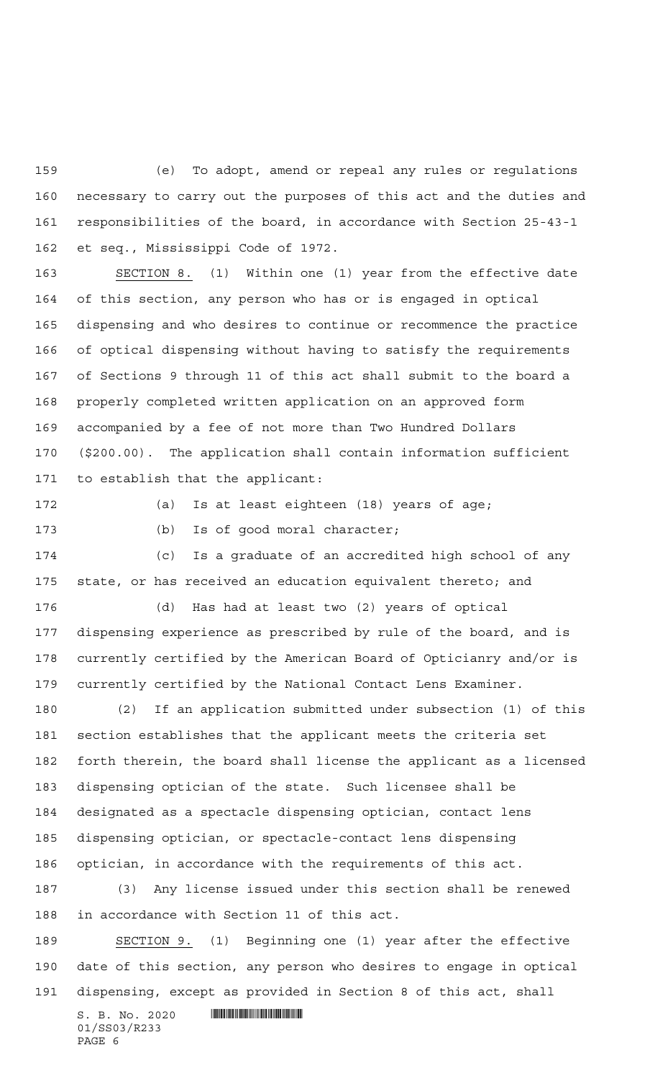(e) To adopt, amend or repeal any rules or regulations necessary to carry out the purposes of this act and the duties and responsibilities of the board, in accordance with Section 25-43-1 et seq., Mississippi Code of 1972.

 SECTION 8. (1) Within one (1) year from the effective date of this section, any person who has or is engaged in optical dispensing and who desires to continue or recommence the practice of optical dispensing without having to satisfy the requirements of Sections 9 through 11 of this act shall submit to the board a properly completed written application on an approved form accompanied by a fee of not more than Two Hundred Dollars (\$200.00). The application shall contain information sufficient to establish that the applicant:

(a) Is at least eighteen (18) years of age;

(b) Is of good moral character;

 (c) Is a graduate of an accredited high school of any state, or has received an education equivalent thereto; and

 (d) Has had at least two (2) years of optical dispensing experience as prescribed by rule of the board, and is currently certified by the American Board of Opticianry and/or is currently certified by the National Contact Lens Examiner.

 (2) If an application submitted under subsection (1) of this section establishes that the applicant meets the criteria set forth therein, the board shall license the applicant as a licensed dispensing optician of the state. Such licensee shall be designated as a spectacle dispensing optician, contact lens dispensing optician, or spectacle-contact lens dispensing optician, in accordance with the requirements of this act.

 (3) Any license issued under this section shall be renewed in accordance with Section 11 of this act.

 SECTION 9. (1) Beginning one (1) year after the effective date of this section, any person who desires to engage in optical dispensing, except as provided in Section 8 of this act, shall

 $S. B. No. 2020$  . We say the set of  $S. B. No. 2020$ 01/SS03/R233 PAGE 6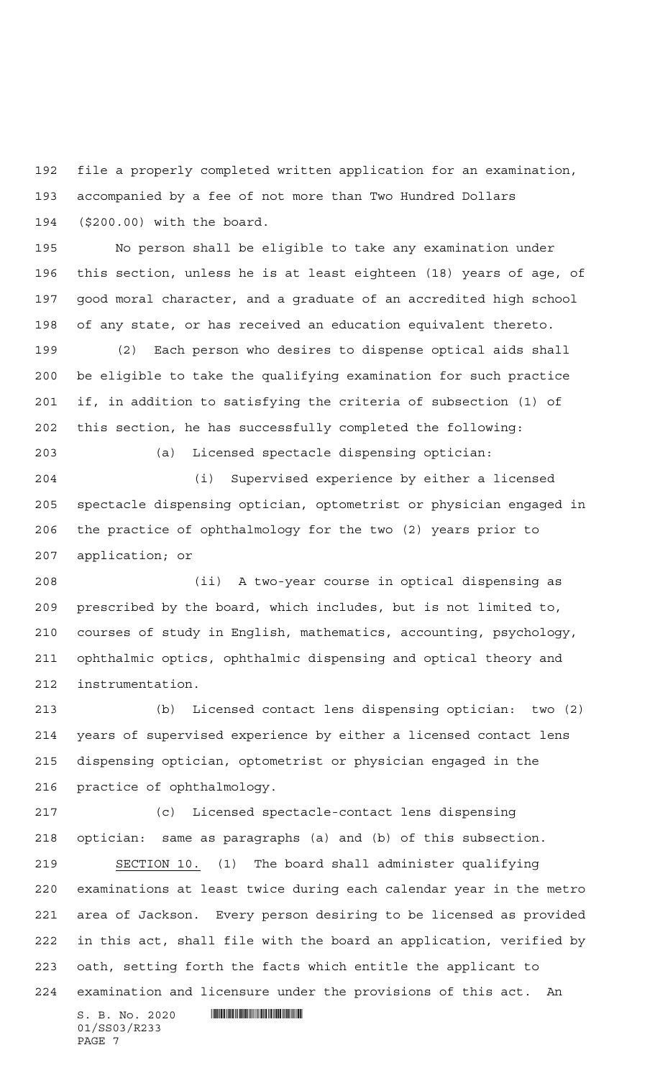file a properly completed written application for an examination, accompanied by a fee of not more than Two Hundred Dollars (\$200.00) with the board.

 No person shall be eligible to take any examination under this section, unless he is at least eighteen (18) years of age, of good moral character, and a graduate of an accredited high school of any state, or has received an education equivalent thereto.

 (2) Each person who desires to dispense optical aids shall be eligible to take the qualifying examination for such practice if, in addition to satisfying the criteria of subsection (1) of this section, he has successfully completed the following:

(a) Licensed spectacle dispensing optician:

 (i) Supervised experience by either a licensed spectacle dispensing optician, optometrist or physician engaged in the practice of ophthalmology for the two (2) years prior to application; or

 (ii) A two-year course in optical dispensing as prescribed by the board, which includes, but is not limited to, courses of study in English, mathematics, accounting, psychology, ophthalmic optics, ophthalmic dispensing and optical theory and instrumentation.

 (b) Licensed contact lens dispensing optician: two (2) years of supervised experience by either a licensed contact lens dispensing optician, optometrist or physician engaged in the practice of ophthalmology.

 (c) Licensed spectacle-contact lens dispensing optician: same as paragraphs (a) and (b) of this subsection. SECTION 10. (1) The board shall administer qualifying examinations at least twice during each calendar year in the metro area of Jackson. Every person desiring to be licensed as provided in this act, shall file with the board an application, verified by oath, setting forth the facts which entitle the applicant to examination and licensure under the provisions of this act. An

 $S. B. No. 2020$  .  $\blacksquare$ 01/SS03/R233 PAGE 7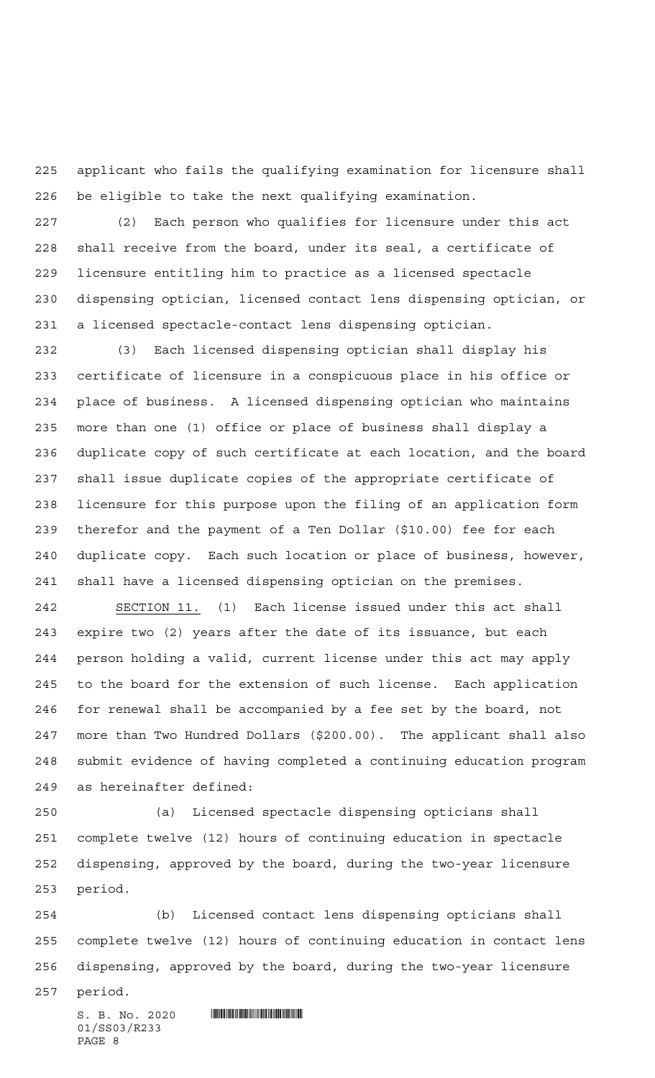applicant who fails the qualifying examination for licensure shall be eligible to take the next qualifying examination.

 (2) Each person who qualifies for licensure under this act shall receive from the board, under its seal, a certificate of licensure entitling him to practice as a licensed spectacle dispensing optician, licensed contact lens dispensing optician, or a licensed spectacle-contact lens dispensing optician.

 (3) Each licensed dispensing optician shall display his certificate of licensure in a conspicuous place in his office or place of business. A licensed dispensing optician who maintains more than one (1) office or place of business shall display a duplicate copy of such certificate at each location, and the board shall issue duplicate copies of the appropriate certificate of licensure for this purpose upon the filing of an application form therefor and the payment of a Ten Dollar (\$10.00) fee for each duplicate copy. Each such location or place of business, however, shall have a licensed dispensing optician on the premises.

 SECTION 11. (1) Each license issued under this act shall expire two (2) years after the date of its issuance, but each person holding a valid, current license under this act may apply to the board for the extension of such license. Each application for renewal shall be accompanied by a fee set by the board, not more than Two Hundred Dollars (\$200.00). The applicant shall also submit evidence of having completed a continuing education program as hereinafter defined:

 (a) Licensed spectacle dispensing opticians shall complete twelve (12) hours of continuing education in spectacle dispensing, approved by the board, during the two-year licensure period.

 (b) Licensed contact lens dispensing opticians shall complete twelve (12) hours of continuing education in contact lens dispensing, approved by the board, during the two-year licensure

period.

 $S. B. No. 2020$  . And  $S. 333$ 01/SS03/R233 PAGE 8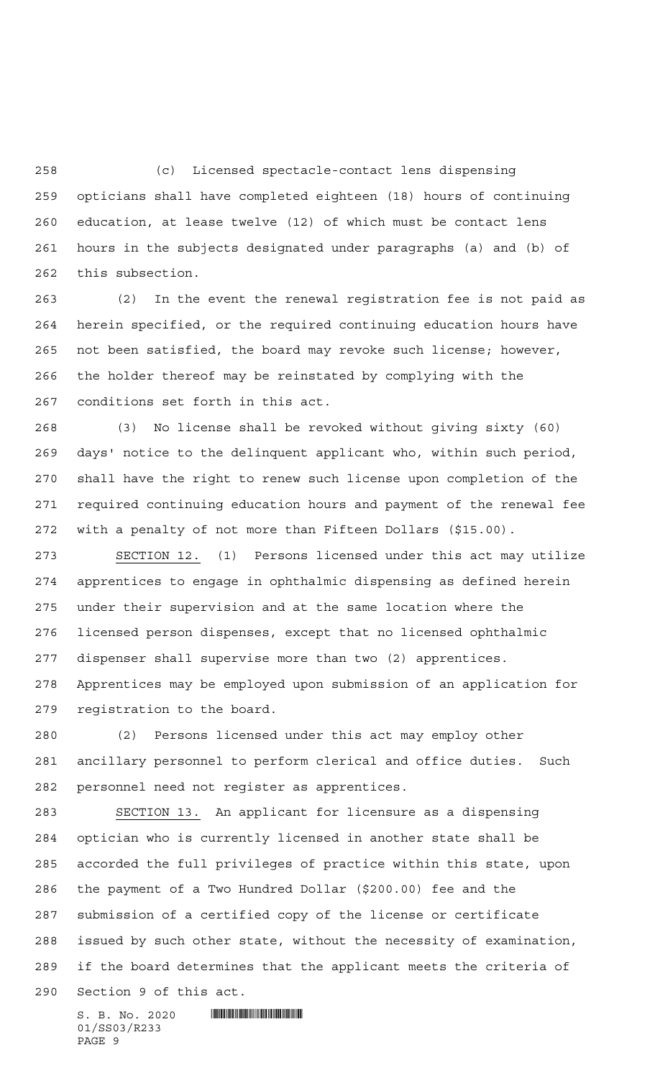(c) Licensed spectacle-contact lens dispensing opticians shall have completed eighteen (18) hours of continuing education, at lease twelve (12) of which must be contact lens hours in the subjects designated under paragraphs (a) and (b) of this subsection.

 (2) In the event the renewal registration fee is not paid as herein specified, or the required continuing education hours have not been satisfied, the board may revoke such license; however, the holder thereof may be reinstated by complying with the conditions set forth in this act.

 (3) No license shall be revoked without giving sixty (60) days' notice to the delinquent applicant who, within such period, shall have the right to renew such license upon completion of the required continuing education hours and payment of the renewal fee with a penalty of not more than Fifteen Dollars (\$15.00).

 SECTION 12. (1) Persons licensed under this act may utilize apprentices to engage in ophthalmic dispensing as defined herein under their supervision and at the same location where the licensed person dispenses, except that no licensed ophthalmic dispenser shall supervise more than two (2) apprentices. Apprentices may be employed upon submission of an application for registration to the board.

 (2) Persons licensed under this act may employ other ancillary personnel to perform clerical and office duties. Such personnel need not register as apprentices.

 SECTION 13. An applicant for licensure as a dispensing optician who is currently licensed in another state shall be accorded the full privileges of practice within this state, upon the payment of a Two Hundred Dollar (\$200.00) fee and the submission of a certified copy of the license or certificate issued by such other state, without the necessity of examination, if the board determines that the applicant meets the criteria of Section 9 of this act.

 $S. B. No. 2020$  .  $\blacksquare$ 01/SS03/R233 PAGE 9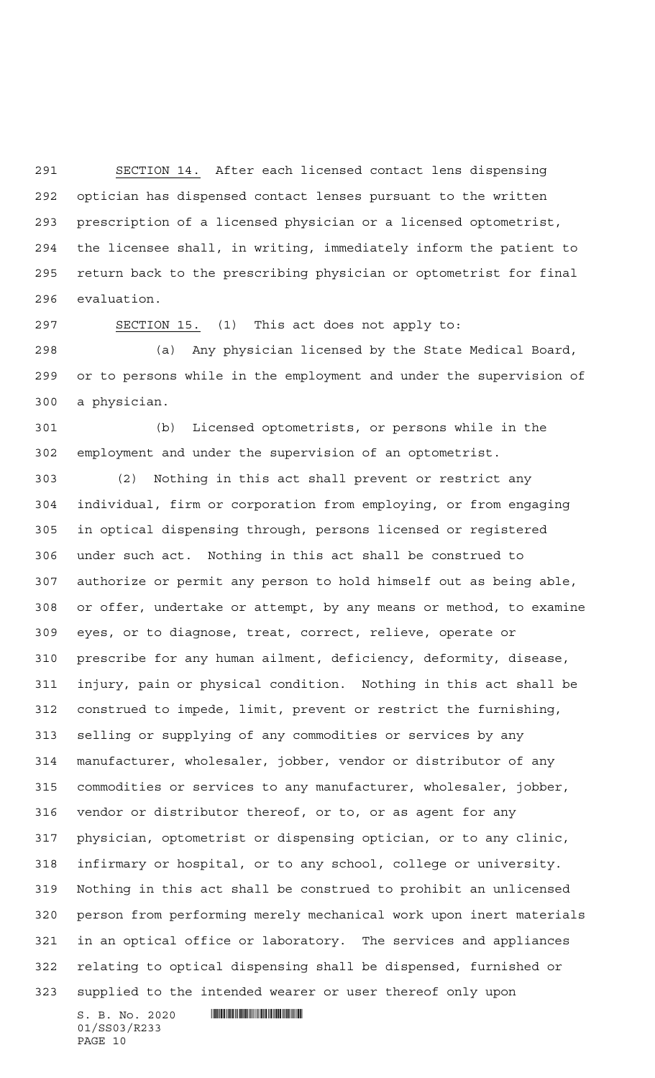SECTION 14. After each licensed contact lens dispensing optician has dispensed contact lenses pursuant to the written prescription of a licensed physician or a licensed optometrist, the licensee shall, in writing, immediately inform the patient to return back to the prescribing physician or optometrist for final evaluation.

SECTION 15. (1) This act does not apply to:

 (a) Any physician licensed by the State Medical Board, or to persons while in the employment and under the supervision of a physician.

 (b) Licensed optometrists, or persons while in the employment and under the supervision of an optometrist.

 (2) Nothing in this act shall prevent or restrict any individual, firm or corporation from employing, or from engaging in optical dispensing through, persons licensed or registered under such act. Nothing in this act shall be construed to authorize or permit any person to hold himself out as being able, or offer, undertake or attempt, by any means or method, to examine eyes, or to diagnose, treat, correct, relieve, operate or prescribe for any human ailment, deficiency, deformity, disease, injury, pain or physical condition. Nothing in this act shall be construed to impede, limit, prevent or restrict the furnishing, selling or supplying of any commodities or services by any manufacturer, wholesaler, jobber, vendor or distributor of any commodities or services to any manufacturer, wholesaler, jobber, vendor or distributor thereof, or to, or as agent for any physician, optometrist or dispensing optician, or to any clinic, infirmary or hospital, or to any school, college or university. Nothing in this act shall be construed to prohibit an unlicensed person from performing merely mechanical work upon inert materials in an optical office or laboratory. The services and appliances relating to optical dispensing shall be dispensed, furnished or supplied to the intended wearer or user thereof only upon

 $S. B. No. 2020$  .  $\blacksquare$ 01/SS03/R233 PAGE 10